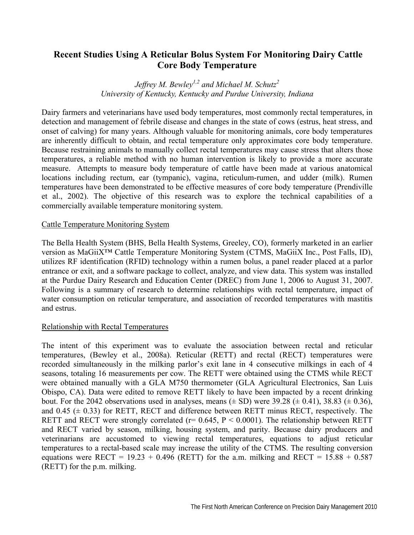# **Recent Studies Using A Reticular Bolus System For Monitoring Dairy Cattle Core Body Temperature**

*Jeffrey M. Bewley1,2 and Michael M. Schutz2 University of Kentucky, Kentucky and Purdue University, Indiana* 

Dairy farmers and veterinarians have used body temperatures, most commonly rectal temperatures, in detection and management of febrile disease and changes in the state of cows (estrus, heat stress, and onset of calving) for many years. Although valuable for monitoring animals, core body temperatures are inherently difficult to obtain, and rectal temperature only approximates core body temperature. Because restraining animals to manually collect rectal temperatures may cause stress that alters those temperatures, a reliable method with no human intervention is likely to provide a more accurate measure. Attempts to measure body temperature of cattle have been made at various anatomical locations including rectum, ear (tympanic), vagina, reticulum-rumen, and udder (milk). Rumen temperatures have been demonstrated to be effective measures of core body temperature (Prendiville et al., 2002). The objective of this research was to explore the technical capabilities of a commercially available temperature monitoring system.

# Cattle Temperature Monitoring System

The Bella Health System (BHS, Bella Health Systems, Greeley, CO), formerly marketed in an earlier version as MaGiiX™ Cattle Temperature Monitoring System (CTMS, MaGiiX Inc., Post Falls, ID), utilizes RF identification (RFID) technology within a rumen bolus, a panel reader placed at a parlor entrance or exit, and a software package to collect, analyze, and view data. This system was installed at the Purdue Dairy Research and Education Center (DREC) from June 1, 2006 to August 31, 2007. Following is a summary of research to determine relationships with rectal temperature, impact of water consumption on reticular temperature, and association of recorded temperatures with mastitis and estrus.

### Relationship with Rectal Temperatures

The intent of this experiment was to evaluate the association between rectal and reticular temperatures, (Bewley et al., 2008a). Reticular (RETT) and rectal (RECT) temperatures were recorded simultaneously in the milking parlor's exit lane in 4 consecutive milkings in each of 4 seasons, totaling 16 measurements per cow. The RETT were obtained using the CTMS while RECT were obtained manually with a GLA M750 thermometer (GLA Agricultural Electronics, San Luis Obispo, CA). Data were edited to remove RETT likely to have been impacted by a recent drinking bout. For the 2042 observations used in analyses, means  $(\pm SD)$  were 39.28  $(\pm 0.41)$ , 38.83  $(\pm 0.36)$ , and  $0.45$  ( $\pm$  0.33) for RETT, RECT and difference between RETT minus RECT, respectively. The RETT and RECT were strongly correlated ( $r = 0.645$ ,  $P < 0.0001$ ). The relationship between RETT and RECT varied by season, milking, housing system, and parity. Because dairy producers and veterinarians are accustomed to viewing rectal temperatures, equations to adjust reticular temperatures to a rectal-based scale may increase the utility of the CTMS. The resulting conversion equations were RECT =  $19.23 + 0.496$  (RETT) for the a.m. milking and RECT =  $15.88 + 0.587$ (RETT) for the p.m. milking.